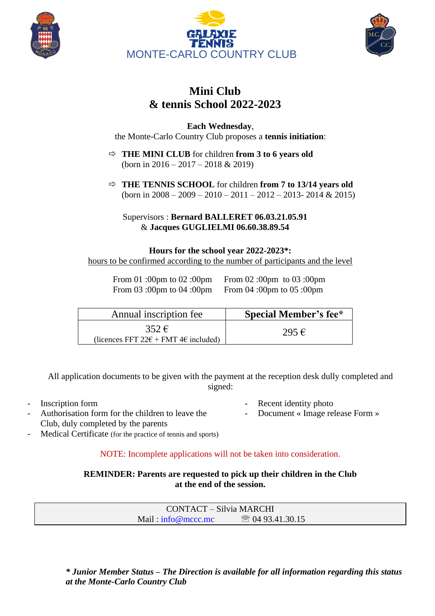





## **Mini Club & tennis School 2022-2023**

**Each Wednesday**, the Monte-Carlo Country Club proposes a **tennis initiation**:

- $\Rightarrow$  **THE MINI CLUB** for children **from 3 to 6 years old** (born in 2016 – 2017 – 2018 & 2019)
- **THE TENNIS SCHOOL** for children **from 7 to 13/14 years old** (born in  $2008 - 2009 - 2010 - 2011 - 2012 - 2013 - 2014 & 2015$ )

Supervisors : **Bernard BALLERET 06.03.21.05.91** & **Jacques GUGLIELMI 06.60.38.89.54**

## **Hours for the school year 2022-2023\*:**

hours to be confirmed according to the number of participants and the level

From 03 :00pm to 04 :00pm From 04 :00pm to 05 :00pm

From 01 :00pm to 02 :00pm From 02 :00pm to 03 :00pm

| Annual inscription fee                                                        | <b>Special Member's fee*</b> |
|-------------------------------------------------------------------------------|------------------------------|
| $352 \,\mathrm{E}$<br>(licences FFT $22\epsilon$ + FMT 4 $\epsilon$ included) | $295 \in$                    |

All application documents to be given with the payment at the reception desk dully completed and signed:

- 
- Authorisation form for the children to leave the Club, duly completed by the parents
- Inscription form **-** Recent identity photo
	- Document « Image release Form »
- Medical Certificate (for the practice of tennis and sports)

NOTE: Incomplete applications will not be taken into consideration.

**REMINDER: Parents are requested to pick up their children in the Club at the end of the session.**

> CONTACT – Silvia MARCHI Mail : [info@mccc.mc](mailto:info@mccc.mc)  04 93.41.30.15

*\* Junior Member Status – The Direction is available for all information regarding this status at the Monte-Carlo Country Club*